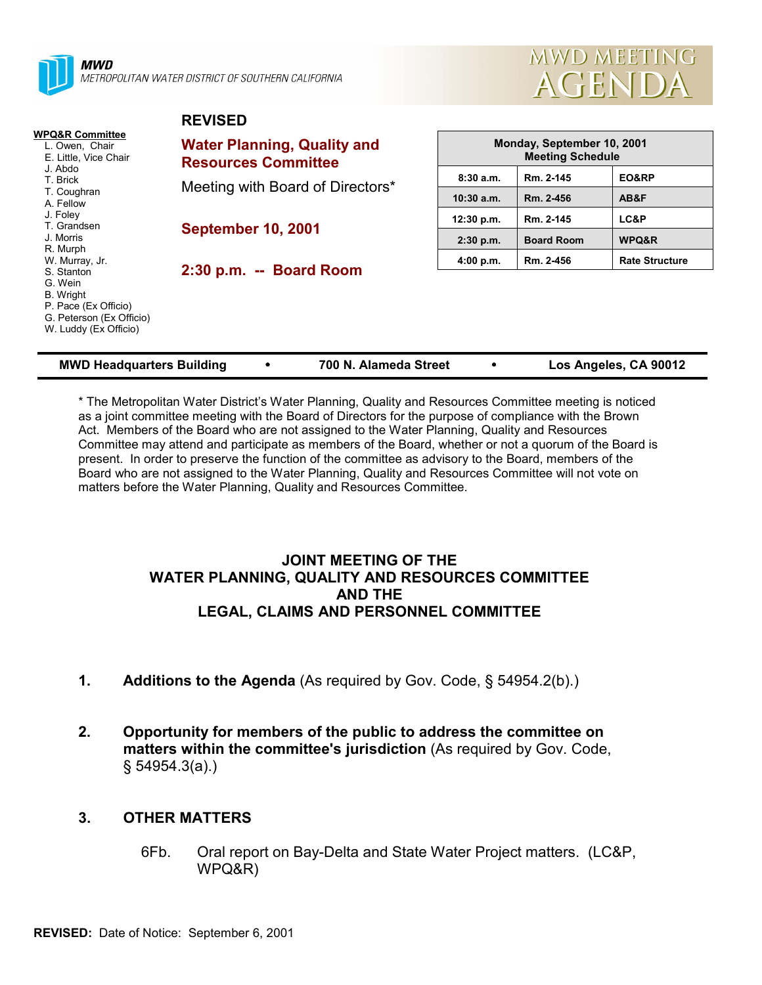

MWD METROPOLITAN WATER DISTRICT OF SOUTHERN CALIFORNIA

**REVISED**



| WPQ&R Committee<br>L. Owen, Chair<br>E. Little, Vice Chair<br>J. Abdo<br>T. Brick<br>T. Coughran<br>A. Fellow<br>J. Foley<br>T. Grandsen<br>J. Morris<br>R. Murph<br>W. Murray, Jr.<br>S. Stanton<br>G. Wein<br><b>B.</b> Wright<br>P. Pace (Ex Officio)<br>G. Peterson (Ex Officio)<br>W. Luddy (Ex Officio) | <b>Water Planning, Quality and</b><br><b>Resources Committee</b> | Monday, September 10, 2001<br><b>Meeting Schedule</b> |                   |                       |  |  |  |
|---------------------------------------------------------------------------------------------------------------------------------------------------------------------------------------------------------------------------------------------------------------------------------------------------------------|------------------------------------------------------------------|-------------------------------------------------------|-------------------|-----------------------|--|--|--|
|                                                                                                                                                                                                                                                                                                               | Meeting with Board of Directors*                                 | 8:30a.m.                                              | Rm. 2-145         | EO&RP                 |  |  |  |
|                                                                                                                                                                                                                                                                                                               |                                                                  | $10:30$ a.m.                                          | Rm. 2-456         | AB&F                  |  |  |  |
|                                                                                                                                                                                                                                                                                                               | <b>September 10, 2001</b>                                        | 12:30 p.m.                                            | Rm. 2-145         | LC&P                  |  |  |  |
|                                                                                                                                                                                                                                                                                                               |                                                                  | $2:30$ p.m.                                           | <b>Board Room</b> | WPQ&R                 |  |  |  |
|                                                                                                                                                                                                                                                                                                               | 2:30 p.m. -- Board Room                                          | 4:00 p.m.                                             | Rm. 2-456         | <b>Rate Structure</b> |  |  |  |
|                                                                                                                                                                                                                                                                                                               |                                                                  |                                                       |                   |                       |  |  |  |

| <b>MWD Headquarters Building</b> |  | 700 N. Alameda Street |  | Los Angeles, CA 90012 |
|----------------------------------|--|-----------------------|--|-----------------------|
|----------------------------------|--|-----------------------|--|-----------------------|

\* The Metropolitan Water Districtís Water Planning, Quality and Resources Committee meeting is noticed as a joint committee meeting with the Board of Directors for the purpose of compliance with the Brown Act. Members of the Board who are not assigned to the Water Planning, Quality and Resources Committee may attend and participate as members of the Board, whether or not a quorum of the Board is present. In order to preserve the function of the committee as advisory to the Board, members of the Board who are not assigned to the Water Planning, Quality and Resources Committee will not vote on matters before the Water Planning, Quality and Resources Committee.

### **JOINT MEETING OF THE WATER PLANNING, QUALITY AND RESOURCES COMMITTEE AND THE LEGAL, CLAIMS AND PERSONNEL COMMITTEE**

- **1.** Additions to the Agenda (As required by Gov. Code, § 54954.2(b).)
- **2. Opportunity for members of the public to address the committee on matters within the committee's jurisdiction** (As required by Gov. Code, ß 54954.3(a).)

## **3. OTHER MATTERS**

6Fb. Oral report on Bay-Delta and State Water Project matters. (LC&P, WPQ&R)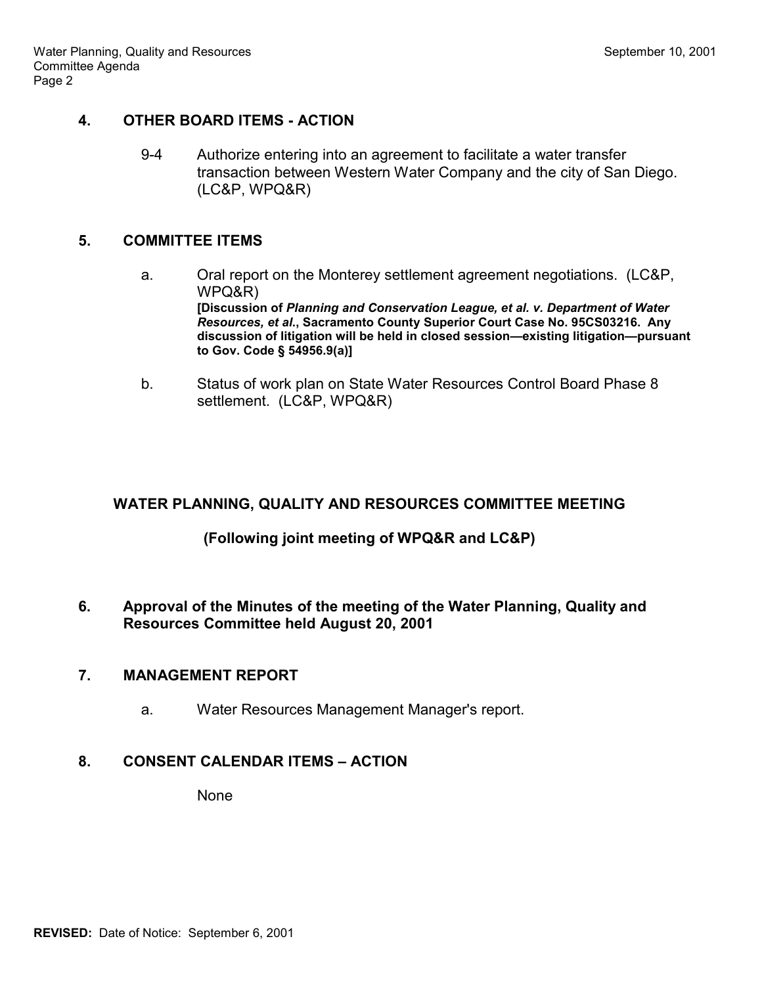# **4. OTHER BOARD ITEMS - ACTION**

9-4 Authorize entering into an agreement to facilitate a water transfer transaction between Western Water Company and the city of San Diego. (LC&P, WPQ&R)

# **5. COMMITTEE ITEMS**

- a. Oral report on the Monterey settlement agreement negotiations. (LC&P, WPQ&R) **[Discussion of** *Planning and Conservation League, et al. v. Department of Water Resources, et al***., Sacramento County Superior Court Case No. 95CS03216. Any** discussion of litigation will be held in closed session—existing litigation—pursuant **to Gov. Code ß 54956.9(a)]**
- b. Status of work plan on State Water Resources Control Board Phase 8 settlement. (LC&P, WPQ&R)

# **WATER PLANNING, QUALITY AND RESOURCES COMMITTEE MEETING**

# **(Following joint meeting of WPQ&R and LC&P)**

**6. Approval of the Minutes of the meeting of the Water Planning, Quality and Resources Committee held August 20, 2001**

## **7. MANAGEMENT REPORT**

a. Water Resources Management Manager's report.

# **8. CONSENT CALENDAR ITEMS - ACTION**

None